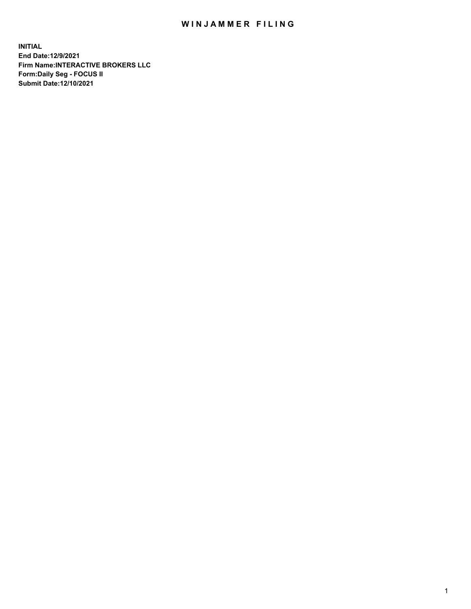## WIN JAMMER FILING

**INITIAL End Date:12/9/2021 Firm Name:INTERACTIVE BROKERS LLC Form:Daily Seg - FOCUS II Submit Date:12/10/2021**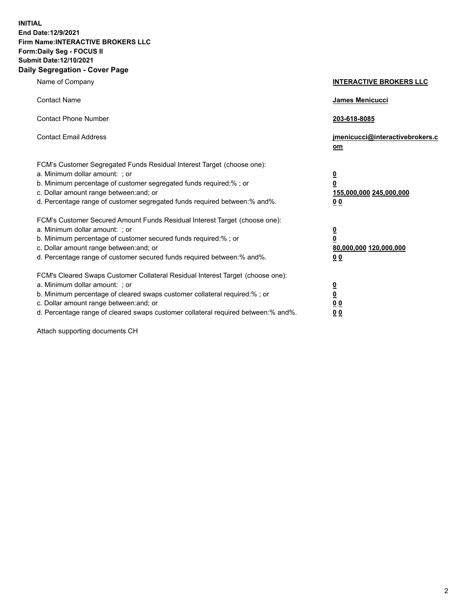**INITIAL End Date:12/9/2021 Firm Name:INTERACTIVE BROKERS LLC Form:Daily Seg - FOCUS II Submit Date:12/10/2021 Daily Segregation - Cover Page**

| Name of Company                                                                                                                                                                                                                                                                                                                | <b>INTERACTIVE BROKERS LLC</b>                                                                 |  |
|--------------------------------------------------------------------------------------------------------------------------------------------------------------------------------------------------------------------------------------------------------------------------------------------------------------------------------|------------------------------------------------------------------------------------------------|--|
| <b>Contact Name</b>                                                                                                                                                                                                                                                                                                            | James Menicucci                                                                                |  |
| <b>Contact Phone Number</b>                                                                                                                                                                                                                                                                                                    | 203-618-8085                                                                                   |  |
| <b>Contact Email Address</b>                                                                                                                                                                                                                                                                                                   | jmenicucci@interactivebrokers.c<br><u>om</u>                                                   |  |
| FCM's Customer Segregated Funds Residual Interest Target (choose one):<br>a. Minimum dollar amount: ; or<br>b. Minimum percentage of customer segregated funds required:%; or<br>c. Dollar amount range between: and; or<br>d. Percentage range of customer segregated funds required between:% and%.                          | <u>0</u><br>$\overline{\mathbf{0}}$<br>155,000,000 245,000,000<br>0 <sub>0</sub>               |  |
| FCM's Customer Secured Amount Funds Residual Interest Target (choose one):<br>a. Minimum dollar amount: ; or<br>b. Minimum percentage of customer secured funds required:% ; or<br>c. Dollar amount range between: and; or<br>d. Percentage range of customer secured funds required between:% and%.                           | $\overline{\mathbf{0}}$<br>$\overline{\mathbf{0}}$<br>80,000,000 120,000,000<br>0 <sub>0</sub> |  |
| FCM's Cleared Swaps Customer Collateral Residual Interest Target (choose one):<br>a. Minimum dollar amount: ; or<br>b. Minimum percentage of cleared swaps customer collateral required:% ; or<br>c. Dollar amount range between: and; or<br>d. Percentage range of cleared swaps customer collateral required between:% and%. | $\frac{0}{0}$<br>0 <sub>0</sub><br>0 <sub>0</sub>                                              |  |

Attach supporting documents CH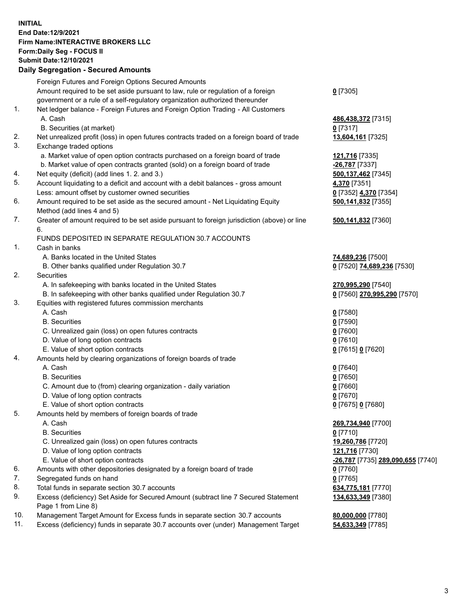**INITIAL End Date:12/9/2021 Firm Name:INTERACTIVE BROKERS LLC Form:Daily Seg - FOCUS II Submit Date:12/10/2021 Daily Segregation - Secured Amounts**

## Foreign Futures and Foreign Options Secured Amounts Amount required to be set aside pursuant to law, rule or regulation of a foreign government or a rule of a self-regulatory organization authorized thereunder **0** [7305] 1. Net ledger balance - Foreign Futures and Foreign Option Trading - All Customers A. Cash **486,438,372** [7315] B. Securities (at market) **0** [7317] 2. Net unrealized profit (loss) in open futures contracts traded on a foreign board of trade **13,604,161** [7325] 3. Exchange traded options a. Market value of open option contracts purchased on a foreign board of trade **121,716** [7335] b. Market value of open contracts granted (sold) on a foreign board of trade **-26,787** [7337] 4. Net equity (deficit) (add lines 1. 2. and 3.) **500,137,462** [7345] 5. Account liquidating to a deficit and account with a debit balances - gross amount **4,370** [7351] Less: amount offset by customer owned securities **0** [7352] **4,370** [7354] 6. Amount required to be set aside as the secured amount - Net Liquidating Equity Method (add lines 4 and 5) **500,141,832** [7355] 7. Greater of amount required to be set aside pursuant to foreign jurisdiction (above) or line 6. **500,141,832** [7360] FUNDS DEPOSITED IN SEPARATE REGULATION 30.7 ACCOUNTS 1. Cash in banks A. Banks located in the United States **74,689,236** [7500] B. Other banks qualified under Regulation 30.7 **0** [7520] **74,689,236** [7530] 2. Securities A. In safekeeping with banks located in the United States **270,995,290** [7540] B. In safekeeping with other banks qualified under Regulation 30.7 **0** [7560] **270,995,290** [7570] 3. Equities with registered futures commission merchants A. Cash **0** [7580] B. Securities **0** [7590] C. Unrealized gain (loss) on open futures contracts **0** [7600] D. Value of long option contracts **0** [7610] E. Value of short option contracts **0** [7615] **0** [7620] 4. Amounts held by clearing organizations of foreign boards of trade A. Cash **0** [7640] B. Securities **0** [7650] C. Amount due to (from) clearing organization - daily variation **0** [7660] D. Value of long option contracts **0** [7670] E. Value of short option contracts **0** [7675] **0** [7680] 5. Amounts held by members of foreign boards of trade A. Cash **269,734,940** [7700] B. Securities **0** [7710] C. Unrealized gain (loss) on open futures contracts **19,260,786** [7720] D. Value of long option contracts **121,716** [7730] E. Value of short option contracts **-26,787** [7735] **289,090,655** [7740] 6. Amounts with other depositories designated by a foreign board of trade **0** [7760] 7. Segregated funds on hand **0** [7765] 8. Total funds in separate section 30.7 accounts **634,775,181** [7770] 9. Excess (deficiency) Set Aside for Secured Amount (subtract line 7 Secured Statement Page 1 from Line 8) **134,633,349** [7380] 10. Management Target Amount for Excess funds in separate section 30.7 accounts **80,000,000** [7780] 11. Excess (deficiency) funds in separate 30.7 accounts over (under) Management Target **54,633,349** [7785]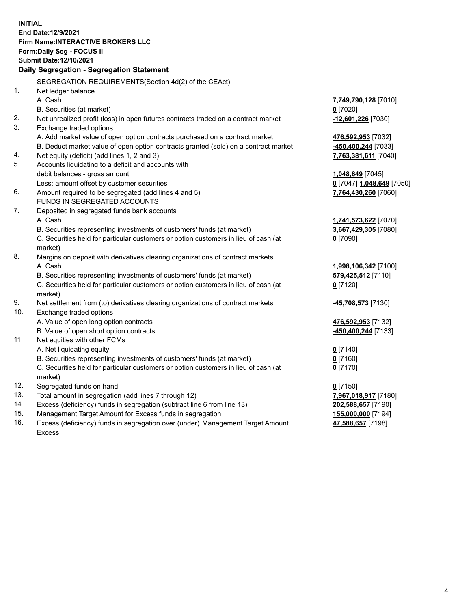**INITIAL End Date:12/9/2021 Firm Name:INTERACTIVE BROKERS LLC Form:Daily Seg - FOCUS II Submit Date:12/10/2021 Daily Segregation - Segregation Statement** SEGREGATION REQUIREMENTS(Section 4d(2) of the CEAct) 1. Net ledger balance A. Cash **7,749,790,128** [7010] B. Securities (at market) **0** [7020] 2. Net unrealized profit (loss) in open futures contracts traded on a contract market **-12,601,226** [7030] 3. Exchange traded options A. Add market value of open option contracts purchased on a contract market **476,592,953** [7032] B. Deduct market value of open option contracts granted (sold) on a contract market **-450,400,244** [7033] 4. Net equity (deficit) (add lines 1, 2 and 3) **7,763,381,611** [7040] 5. Accounts liquidating to a deficit and accounts with debit balances - gross amount **1,048,649** [7045] Less: amount offset by customer securities **0** [7047] **1,048,649** [7050] 6. Amount required to be segregated (add lines 4 and 5) **7,764,430,260** [7060] FUNDS IN SEGREGATED ACCOUNTS 7. Deposited in segregated funds bank accounts A. Cash **1,741,573,622** [7070] B. Securities representing investments of customers' funds (at market) **3,667,429,305** [7080] C. Securities held for particular customers or option customers in lieu of cash (at market) **0** [7090] 8. Margins on deposit with derivatives clearing organizations of contract markets A. Cash **1,998,106,342** [7100] B. Securities representing investments of customers' funds (at market) **579,425,512** [7110] C. Securities held for particular customers or option customers in lieu of cash (at market) **0** [7120] 9. Net settlement from (to) derivatives clearing organizations of contract markets **-45,708,573** [7130] 10. Exchange traded options A. Value of open long option contracts **476,592,953** [7132] B. Value of open short option contracts **-450,400,244** [7133] 11. Net equities with other FCMs A. Net liquidating equity **0** [7140] B. Securities representing investments of customers' funds (at market) **0** [7160] C. Securities held for particular customers or option customers in lieu of cash (at market) **0** [7170] 12. Segregated funds on hand **0** [7150] 13. Total amount in segregation (add lines 7 through 12) **7,967,018,917** [7180] 14. Excess (deficiency) funds in segregation (subtract line 6 from line 13) **202,588,657** [7190] 15. Management Target Amount for Excess funds in segregation **155,000,000** [7194]

16. Excess (deficiency) funds in segregation over (under) Management Target Amount Excess

**47,588,657** [7198]